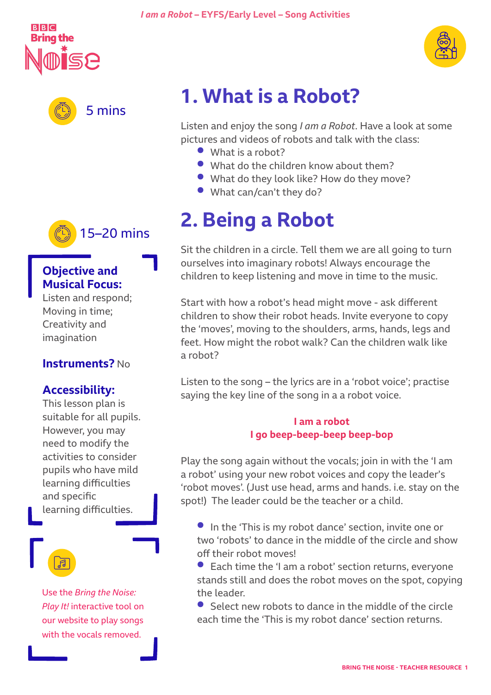





### 15–20 mins

### **Objective and Musical Focus:**

Listen and respond; Moving in time; Creativity and imagination

### **Instruments?** No

### **Accessibility:**

This lesson plan is suitable for all pupils. However, you may need to modify the activities to consider pupils who have mild learning difficulties and specific learning difficulties.

Use the *Bring the Noise: Play It!* interactive tool on our website to play songs with the vocals removed.

## **1. What is a Robot?**

Listen and enjoy the song *I am a Robot*. Have a look at some pictures and videos of robots and talk with the class:

- **•** What is a robot?
- **•** What do the children know about them?
- **•** What do they look like? How do they move?
- **•** What can/can't they do?

## **2. Being a Robot**

Sit the children in a circle. Tell them we are all going to turn ourselves into imaginary robots! Always encourage the children to keep listening and move in time to the music.

Start with how a robot's head might move - ask different children to show their robot heads. Invite everyone to copy the 'moves', moving to the shoulders, arms, hands, legs and feet. How might the robot walk? Can the children walk like a robot?

Listen to the song – the lyrics are in a 'robot voice'; practise saying the key line of the song in a a robot voice.

#### **I am a robot I go beep-beep-beep beep-bop**

Play the song again without the vocals; join in with the 'I am a robot' using your new robot voices and copy the leader's 'robot moves'. (Just use head, arms and hands. i.e. stay on the spot!) The leader could be the teacher or a child.

**•** In the 'This is my robot dance' section, invite one or two 'robots' to dance in the middle of the circle and show off their robot moves!

**•** Each time the 'I am a robot' section returns, everyone stands still and does the robot moves on the spot, copying the leader.

**•** Select new robots to dance in the middle of the circle each time the 'This is my robot dance' section returns.